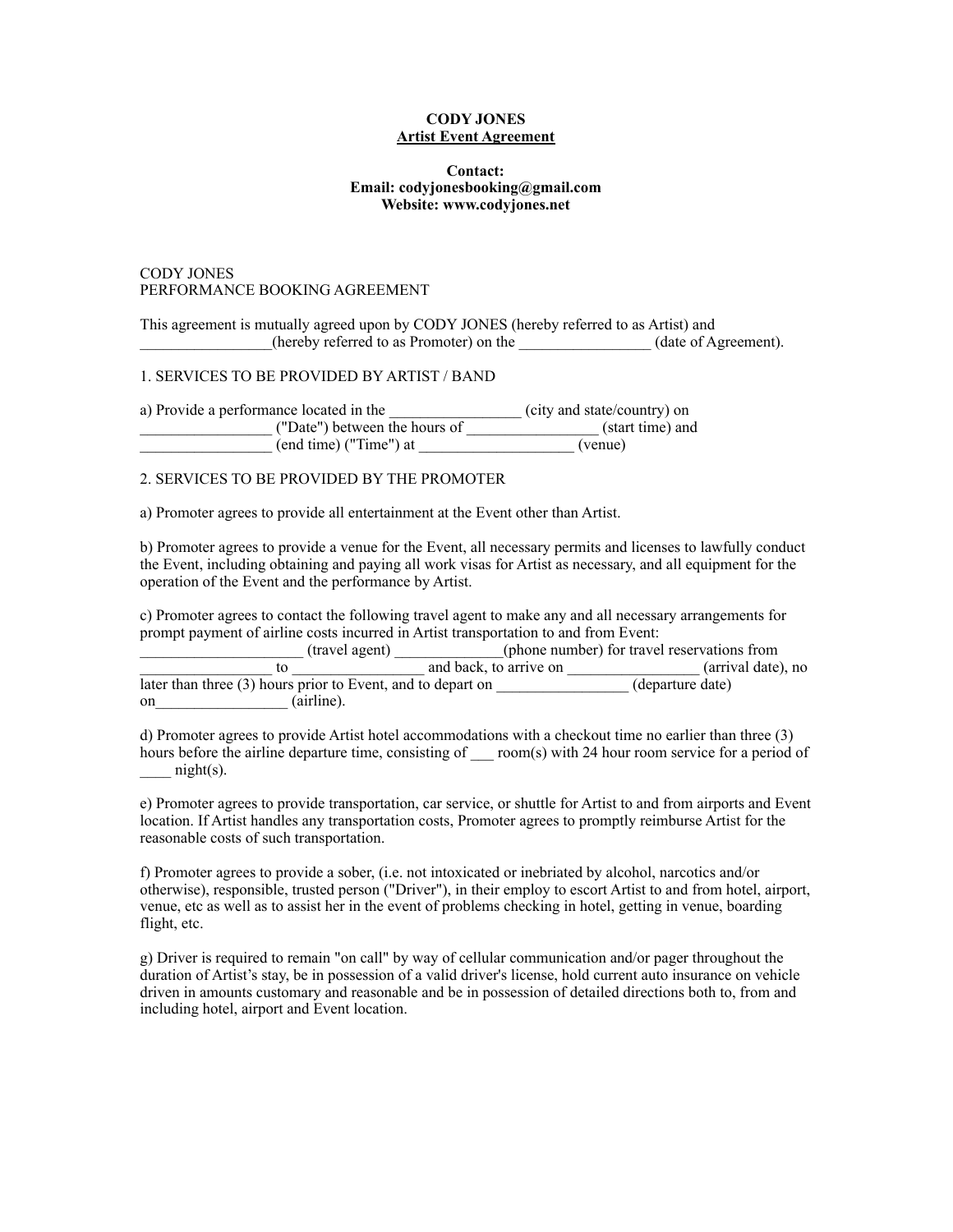#### **CODY JONES Artist Event Agreement**

#### **Contact: Email: codyjonesbooking@gmail.com Website: www.codyjones.net**

#### CODY JONES PERFORMANCE BOOKING AGREEMENT

This agreement is mutually agreed upon by CODY JONES (hereby referred to as Artist) and \_\_\_\_\_\_\_\_\_\_\_\_\_\_\_\_\_(hereby referred to as Promoter) on the \_\_\_\_\_\_\_\_\_\_\_\_\_\_\_\_\_ (date of Agreement).

#### 1. SERVICES TO BE PROVIDED BY ARTIST / BAND

| a) Provide a performance located in the | (city and state/country) on |
|-----------------------------------------|-----------------------------|
| ("Date") between the hours of           | (start time) and            |
| (end time) ("Time") at                  | (venue)                     |

#### 2. SERVICES TO BE PROVIDED BY THE PROMOTER

a) Promoter agrees to provide all entertainment at the Event other than Artist.

b) Promoter agrees to provide a venue for the Event, all necessary permits and licenses to lawfully conduct the Event, including obtaining and paying all work visas for Artist as necessary, and all equipment for the operation of the Event and the performance by Artist.

c) Promoter agrees to contact the following travel agent to make any and all necessary arrangements for prompt payment of airline costs incurred in Artist transportation to and from Event:

(phone number) for travel reservations from<br> $\overline{k}$ , to arrive on (arrival date), no \_\_\_\_\_\_\_\_\_\_\_\_\_\_\_\_\_ to \_\_\_\_\_\_\_\_\_\_\_\_\_\_\_\_\_ and back, to arrive on \_\_\_\_\_\_\_\_\_\_\_\_\_\_\_\_\_ (arrival date), no  $\frac{1}{\text{later than three (3) hours prior to Event, and to depart on}}$  (airline).  $(a$ irline).

d) Promoter agrees to provide Artist hotel accommodations with a checkout time no earlier than three (3) hours before the airline departure time, consisting of room(s) with 24 hour room service for a period of  $night(s)$ .

e) Promoter agrees to provide transportation, car service, or shuttle for Artist to and from airports and Event location. If Artist handles any transportation costs, Promoter agrees to promptly reimburse Artist for the reasonable costs of such transportation.

f) Promoter agrees to provide a sober, (i.e. not intoxicated or inebriated by alcohol, narcotics and/or otherwise), responsible, trusted person ("Driver"), in their employ to escort Artist to and from hotel, airport, venue, etc as well as to assist her in the event of problems checking in hotel, getting in venue, boarding flight, etc.

g) Driver is required to remain "on call" by way of cellular communication and/or pager throughout the duration of Artist's stay, be in possession of a valid driver's license, hold current auto insurance on vehicle driven in amounts customary and reasonable and be in possession of detailed directions both to, from and including hotel, airport and Event location.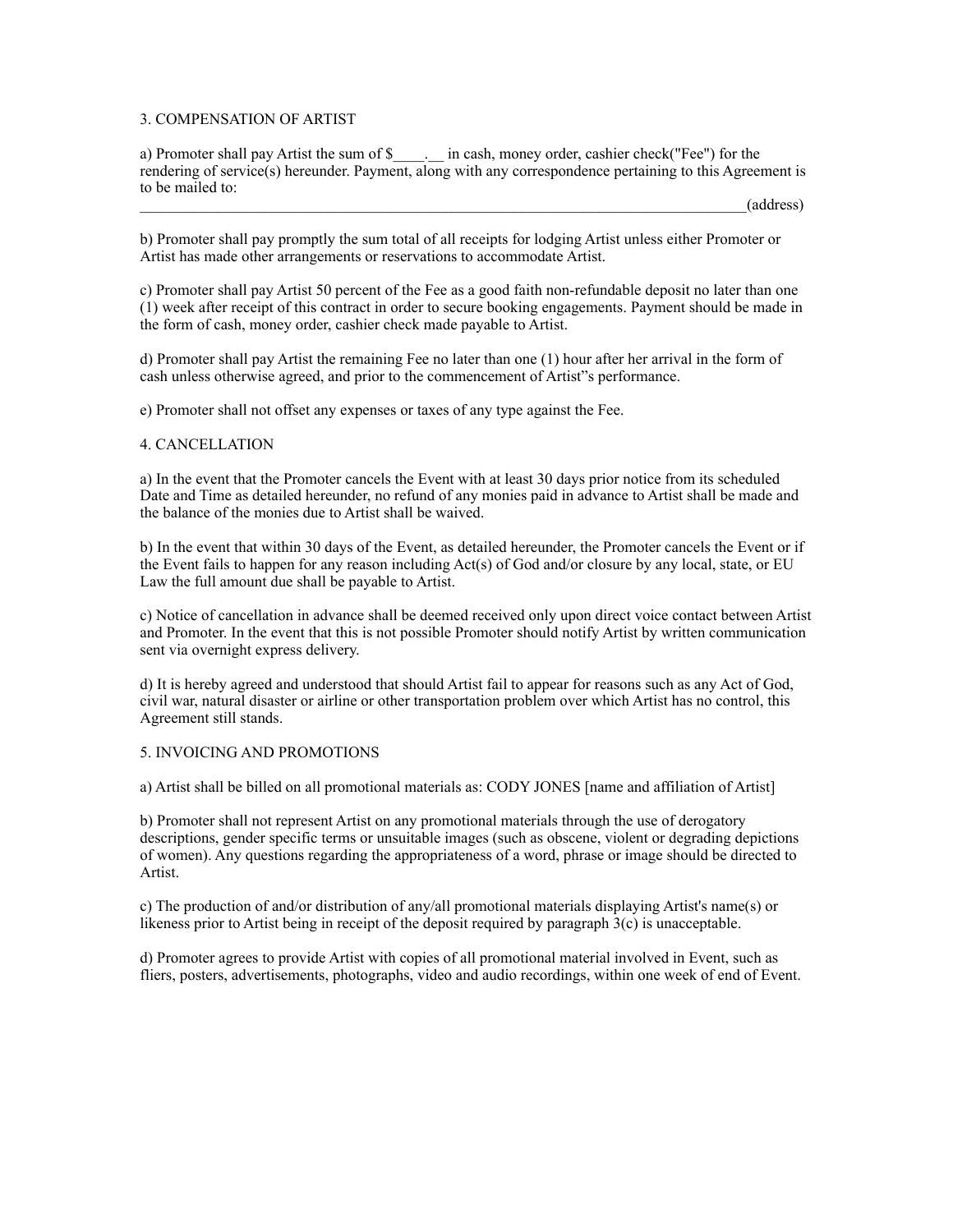#### 3. COMPENSATION OF ARTIST

a) Promoter shall pay Artist the sum of \$ \_\_\_\_\_\_\_ in cash, money order, cashier check("Fee") for the rendering of service(s) hereunder. Payment, along with any correspondence pertaining to this Agreement is to be mailed to:

\_\_\_\_\_\_\_\_\_\_\_\_\_\_\_\_\_\_\_\_\_\_\_\_\_\_\_\_\_\_\_\_\_\_\_\_\_\_\_\_\_\_\_\_\_\_\_\_\_\_\_\_\_\_\_\_\_\_\_\_\_\_\_\_\_\_\_\_\_\_\_\_\_\_\_\_\_\_(address)

b) Promoter shall pay promptly the sum total of all receipts for lodging Artist unless either Promoter or Artist has made other arrangements or reservations to accommodate Artist.

c) Promoter shall pay Artist 50 percent of the Fee as a good faith non-refundable deposit no later than one (1) week after receipt of this contract in order to secure booking engagements. Payment should be made in the form of cash, money order, cashier check made payable to Artist.

d) Promoter shall pay Artist the remaining Fee no later than one (1) hour after her arrival in the form of cash unless otherwise agreed, and prior to the commencement of Artist"s performance.

e) Promoter shall not offset any expenses or taxes of any type against the Fee.

#### 4. CANCELLATION

a) In the event that the Promoter cancels the Event with at least 30 days prior notice from its scheduled Date and Time as detailed hereunder, no refund of any monies paid in advance to Artist shall be made and the balance of the monies due to Artist shall be waived.

b) In the event that within 30 days of the Event, as detailed hereunder, the Promoter cancels the Event or if the Event fails to happen for any reason including Act(s) of God and/or closure by any local, state, or EU Law the full amount due shall be payable to Artist.

c) Notice of cancellation in advance shall be deemed received only upon direct voice contact between Artist and Promoter. In the event that this is not possible Promoter should notify Artist by written communication sent via overnight express delivery.

d) It is hereby agreed and understood that should Artist fail to appear for reasons such as any Act of God, civil war, natural disaster or airline or other transportation problem over which Artist has no control, this Agreement still stands.

#### 5. INVOICING AND PROMOTIONS

a) Artist shall be billed on all promotional materials as: CODY JONES [name and affiliation of Artist]

b) Promoter shall not represent Artist on any promotional materials through the use of derogatory descriptions, gender specific terms or unsuitable images (such as obscene, violent or degrading depictions of women). Any questions regarding the appropriateness of a word, phrase or image should be directed to Artist.

c) The production of and/or distribution of any/all promotional materials displaying Artist's name(s) or likeness prior to Artist being in receipt of the deposit required by paragraph 3(c) is unacceptable.

d) Promoter agrees to provide Artist with copies of all promotional material involved in Event, such as fliers, posters, advertisements, photographs, video and audio recordings, within one week of end of Event.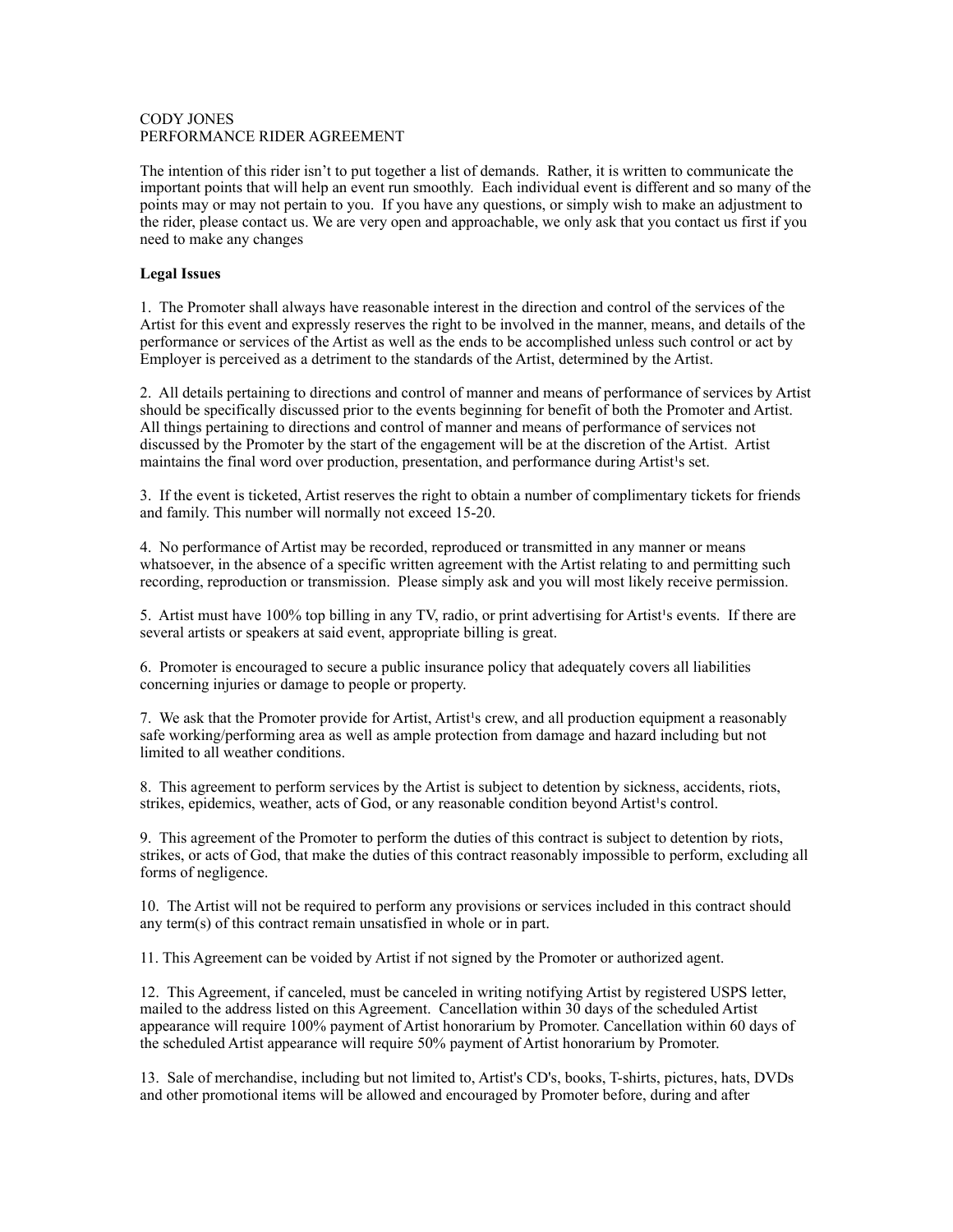#### CODY JONES PERFORMANCE RIDER AGREEMENT

The intention of this rider isn't to put together a list of demands. Rather, it is written to communicate the important points that will help an event run smoothly. Each individual event is different and so many of the points may or may not pertain to you. If you have any questions, or simply wish to make an adjustment to the rider, please contact us. We are very open and approachable, we only ask that you contact us first if you need to make any changes

#### **Legal Issues**

1. The Promoter shall always have reasonable interest in the direction and control of the services of the Artist for this event and expressly reserves the right to be involved in the manner, means, and details of the performance or services of the Artist as well as the ends to be accomplished unless such control or act by Employer is perceived as a detriment to the standards of the Artist, determined by the Artist.

2. All details pertaining to directions and control of manner and means of performance of services by Artist should be specifically discussed prior to the events beginning for benefit of both the Promoter and Artist. All things pertaining to directions and control of manner and means of performance of services not discussed by the Promoter by the start of the engagement will be at the discretion of the Artist. Artist maintains the final word over production, presentation, and performance during Artist<sup>1</sup>s set.

3. If the event is ticketed, Artist reserves the right to obtain a number of complimentary tickets for friends and family. This number will normally not exceed 15-20.

4. No performance of Artist may be recorded, reproduced or transmitted in any manner or means whatsoever, in the absence of a specific written agreement with the Artist relating to and permitting such recording, reproduction or transmission. Please simply ask and you will most likely receive permission.

5. Artist must have 100% top billing in any TV, radio, or print advertising for Artist's events. If there are several artists or speakers at said event, appropriate billing is great.

6. Promoter is encouraged to secure a public insurance policy that adequately covers all liabilities concerning injuries or damage to people or property.

7. We ask that the Promoter provide for Artist, Artist's crew, and all production equipment a reasonably safe working/performing area as well as ample protection from damage and hazard including but not limited to all weather conditions.

8. This agreement to perform services by the Artist is subject to detention by sickness, accidents, riots, strikes, epidemics, weather, acts of God, or any reasonable condition beyond Artist<sup>1</sup>s control.

9. This agreement of the Promoter to perform the duties of this contract is subject to detention by riots, strikes, or acts of God, that make the duties of this contract reasonably impossible to perform, excluding all forms of negligence.

10. The Artist will not be required to perform any provisions or services included in this contract should any term(s) of this contract remain unsatisfied in whole or in part.

11. This Agreement can be voided by Artist if not signed by the Promoter or authorized agent.

12. This Agreement, if canceled, must be canceled in writing notifying Artist by registered USPS letter, mailed to the address listed on this Agreement. Cancellation within 30 days of the scheduled Artist appearance will require 100% payment of Artist honorarium by Promoter. Cancellation within 60 days of the scheduled Artist appearance will require 50% payment of Artist honorarium by Promoter.

13. Sale of merchandise, including but not limited to, Artist's CD's, books, T-shirts, pictures, hats, DVDs and other promotional items will be allowed and encouraged by Promoter before, during and after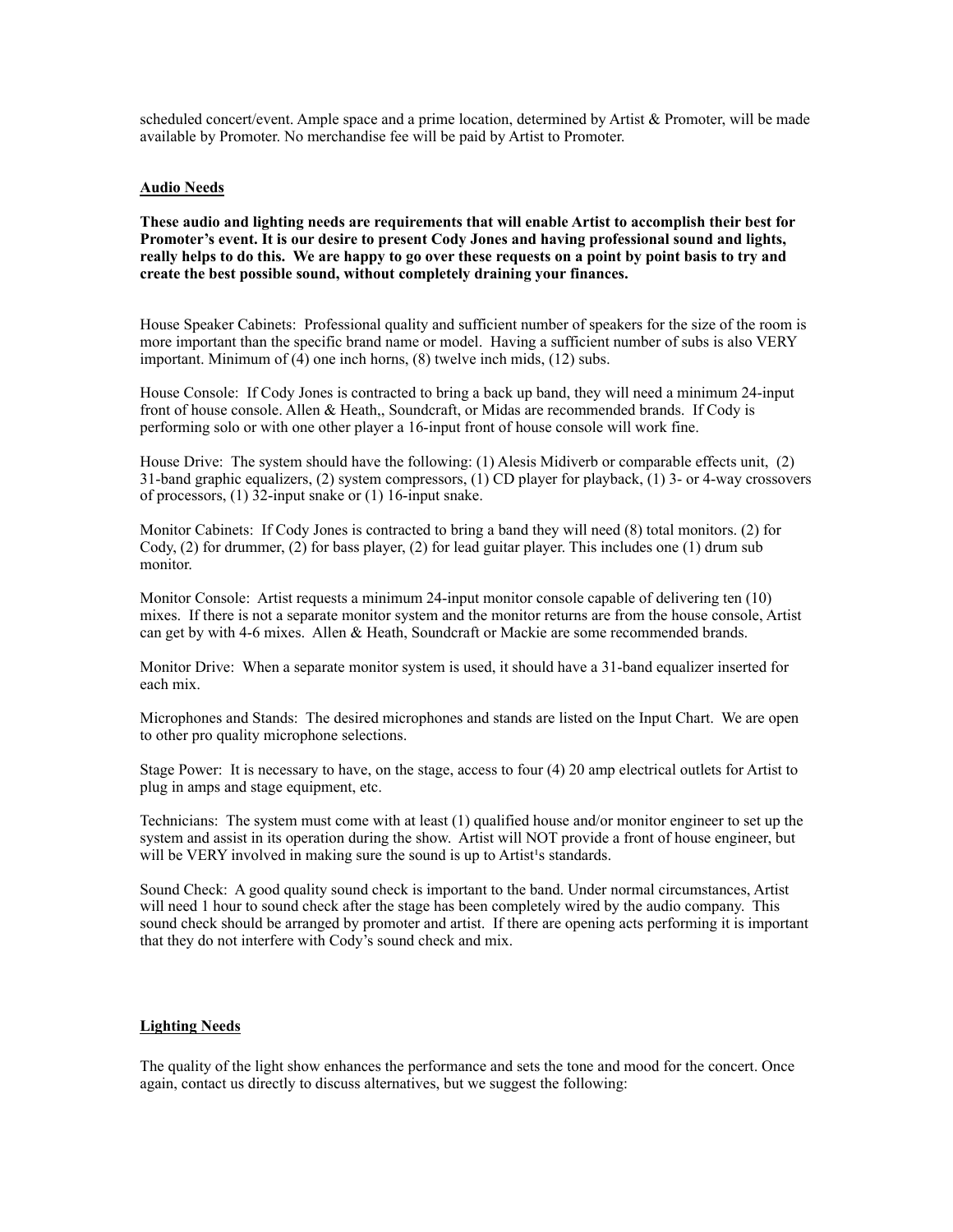scheduled concert/event. Ample space and a prime location, determined by Artist & Promoter, will be made available by Promoter. No merchandise fee will be paid by Artist to Promoter.

#### **Audio Needs**

**These audio and lighting needs are requirements that will enable Artist to accomplish their best for Promoter's event. It is our desire to present Cody Jones and having professional sound and lights, really helps to do this. We are happy to go over these requests on a point by point basis to try and create the best possible sound, without completely draining your finances.** 

House Speaker Cabinets: Professional quality and sufficient number of speakers for the size of the room is more important than the specific brand name or model. Having a sufficient number of subs is also VERY important. Minimum of  $(4)$  one inch horns,  $(8)$  twelve inch mids,  $(12)$  subs.

House Console: If Cody Jones is contracted to bring a back up band, they will need a minimum 24-input front of house console. Allen & Heath,, Soundcraft, or Midas are recommended brands. If Cody is performing solo or with one other player a 16-input front of house console will work fine.

House Drive: The system should have the following: (1) Alesis Midiverb or comparable effects unit, (2) 31-band graphic equalizers, (2) system compressors, (1) CD player for playback, (1) 3- or 4-way crossovers of processors, (1) 32-input snake or (1) 16-input snake.

Monitor Cabinets: If Cody Jones is contracted to bring a band they will need (8) total monitors. (2) for Cody, (2) for drummer, (2) for bass player, (2) for lead guitar player. This includes one (1) drum sub monitor.

Monitor Console: Artist requests a minimum 24-input monitor console capable of delivering ten (10) mixes. If there is not a separate monitor system and the monitor returns are from the house console, Artist can get by with 4-6 mixes. Allen & Heath, Soundcraft or Mackie are some recommended brands.

Monitor Drive: When a separate monitor system is used, it should have a 31-band equalizer inserted for each mix.

Microphones and Stands: The desired microphones and stands are listed on the Input Chart. We are open to other pro quality microphone selections.

Stage Power: It is necessary to have, on the stage, access to four (4) 20 amp electrical outlets for Artist to plug in amps and stage equipment, etc.

Technicians: The system must come with at least (1) qualified house and/or monitor engineer to set up the system and assist in its operation during the show. Artist will NOT provide a front of house engineer, but will be VERY involved in making sure the sound is up to Artist<sup>1</sup>s standards.

Sound Check: A good quality sound check is important to the band. Under normal circumstances, Artist will need 1 hour to sound check after the stage has been completely wired by the audio company. This sound check should be arranged by promoter and artist. If there are opening acts performing it is important that they do not interfere with Cody's sound check and mix.

#### **Lighting Needs**

The quality of the light show enhances the performance and sets the tone and mood for the concert. Once again, contact us directly to discuss alternatives, but we suggest the following: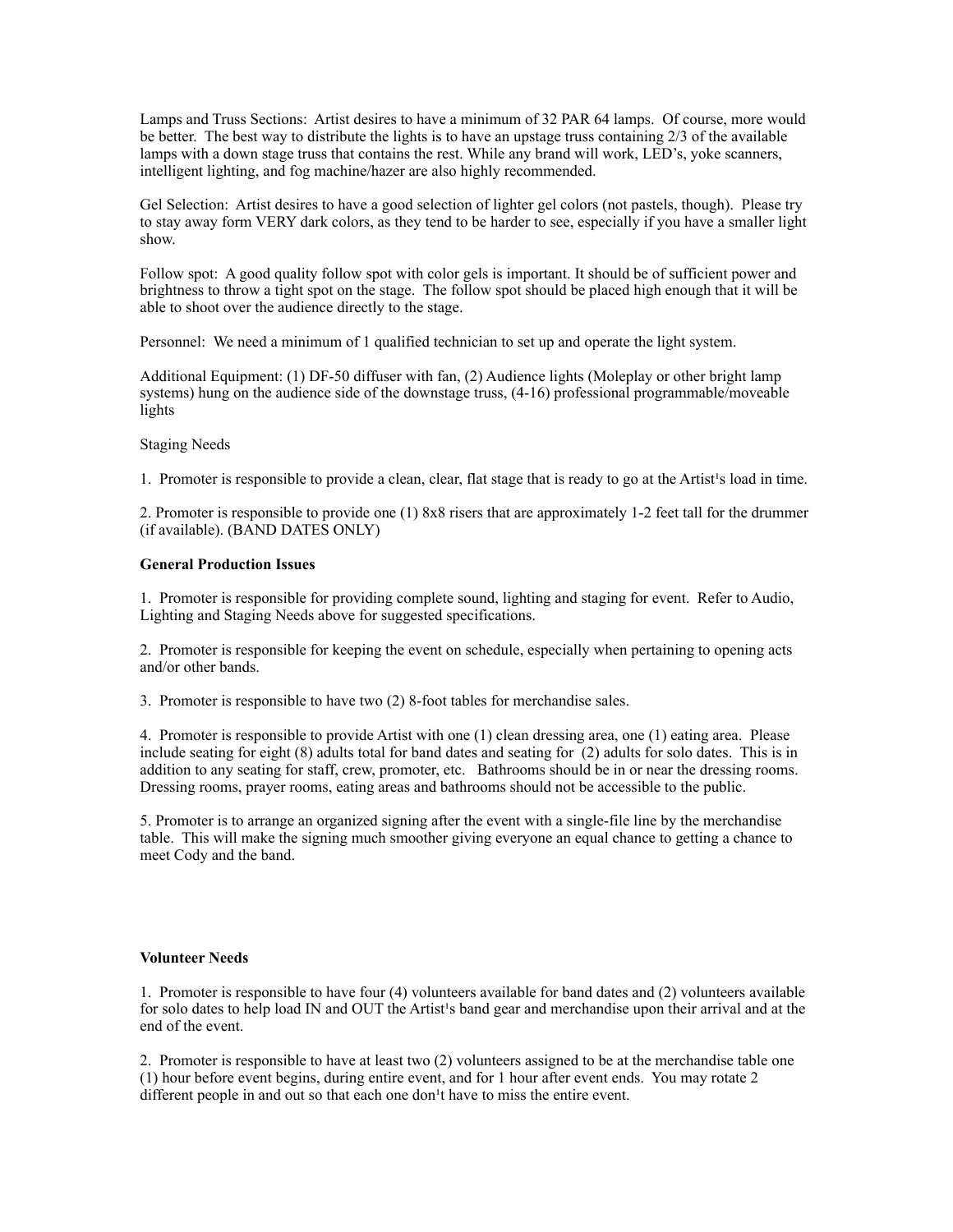Lamps and Truss Sections: Artist desires to have a minimum of 32 PAR 64 lamps. Of course, more would be better. The best way to distribute the lights is to have an upstage truss containing 2/3 of the available lamps with a down stage truss that contains the rest. While any brand will work, LED's, yoke scanners, intelligent lighting, and fog machine/hazer are also highly recommended.

Gel Selection: Artist desires to have a good selection of lighter gel colors (not pastels, though). Please try to stay away form VERY dark colors, as they tend to be harder to see, especially if you have a smaller light show.

Follow spot: A good quality follow spot with color gels is important. It should be of sufficient power and brightness to throw a tight spot on the stage. The follow spot should be placed high enough that it will be able to shoot over the audience directly to the stage.

Personnel: We need a minimum of 1 qualified technician to set up and operate the light system.

Additional Equipment: (1) DF-50 diffuser with fan, (2) Audience lights (Moleplay or other bright lamp systems) hung on the audience side of the downstage truss,  $(4-16)$  professional programmable/moveable lights

Staging Needs

1. Promoter is responsible to provide a clean, clear, flat stage that is ready to go at the Artist's load in time.

2. Promoter is responsible to provide one (1) 8x8 risers that are approximately 1-2 feet tall for the drummer (if available). (BAND DATES ONLY)

#### **General Production Issues**

1. Promoter is responsible for providing complete sound, lighting and staging for event. Refer to Audio, Lighting and Staging Needs above for suggested specifications.

2. Promoter is responsible for keeping the event on schedule, especially when pertaining to opening acts and/or other bands.

3. Promoter is responsible to have two (2) 8-foot tables for merchandise sales.

4. Promoter is responsible to provide Artist with one (1) clean dressing area, one (1) eating area. Please include seating for eight (8) adults total for band dates and seating for (2) adults for solo dates. This is in addition to any seating for staff, crew, promoter, etc. Bathrooms should be in or near the dressing rooms. Dressing rooms, prayer rooms, eating areas and bathrooms should not be accessible to the public.

5. Promoter is to arrange an organized signing after the event with a single-file line by the merchandise table. This will make the signing much smoother giving everyone an equal chance to getting a chance to meet Cody and the band.

#### **Volunteer Needs**

1. Promoter is responsible to have four (4) volunteers available for band dates and (2) volunteers available for solo dates to help load IN and OUT the Artist's band gear and merchandise upon their arrival and at the end of the event.

2. Promoter is responsible to have at least two (2) volunteers assigned to be at the merchandise table one (1) hour before event begins, during entire event, and for 1 hour after event ends. You may rotate 2 different people in and out so that each one don<sup>1</sup>t have to miss the entire event.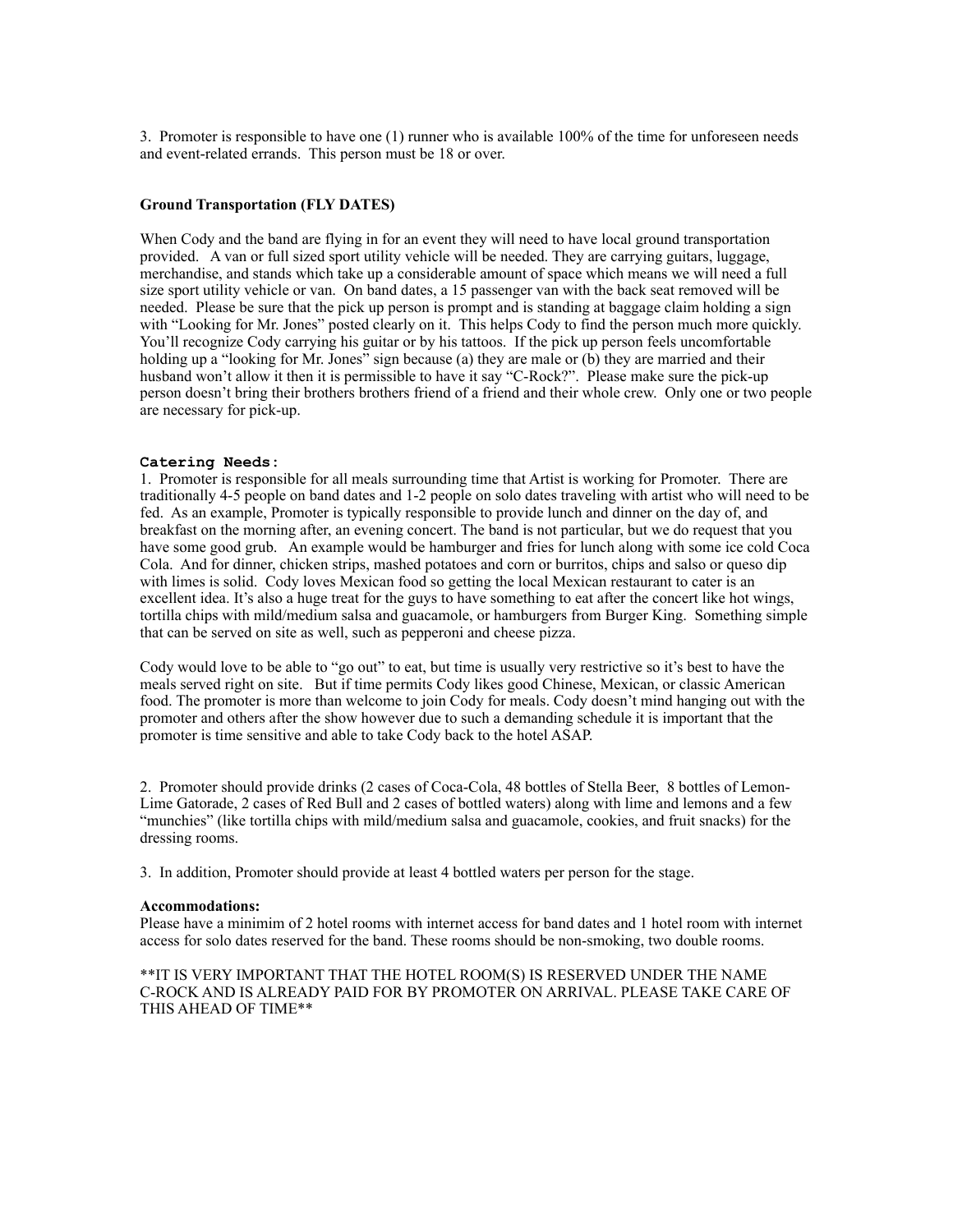3. Promoter is responsible to have one (1) runner who is available 100% of the time for unforeseen needs and event-related errands. This person must be 18 or over.

#### **Ground Transportation (FLY DATES)**

When Cody and the band are flying in for an event they will need to have local ground transportation provided. A van or full sized sport utility vehicle will be needed. They are carrying guitars, luggage, merchandise, and stands which take up a considerable amount of space which means we will need a full size sport utility vehicle or van. On band dates, a 15 passenger van with the back seat removed will be needed. Please be sure that the pick up person is prompt and is standing at baggage claim holding a sign with "Looking for Mr. Jones" posted clearly on it. This helps Cody to find the person much more quickly. You'll recognize Cody carrying his guitar or by his tattoos. If the pick up person feels uncomfortable holding up a "looking for Mr. Jones" sign because (a) they are male or (b) they are married and their husband won't allow it then it is permissible to have it say "C-Rock?". Please make sure the pick-up person doesn't bring their brothers brothers friend of a friend and their whole crew. Only one or two people are necessary for pick-up.

#### **Catering Needs:**

1. Promoter is responsible for all meals surrounding time that Artist is working for Promoter. There are traditionally 4-5 people on band dates and 1-2 people on solo dates traveling with artist who will need to be fed. As an example, Promoter is typically responsible to provide lunch and dinner on the day of, and breakfast on the morning after, an evening concert. The band is not particular, but we do request that you have some good grub. An example would be hamburger and fries for lunch along with some ice cold Coca Cola. And for dinner, chicken strips, mashed potatoes and corn or burritos, chips and salso or queso dip with limes is solid. Cody loves Mexican food so getting the local Mexican restaurant to cater is an excellent idea. It's also a huge treat for the guys to have something to eat after the concert like hot wings, tortilla chips with mild/medium salsa and guacamole, or hamburgers from Burger King. Something simple that can be served on site as well, such as pepperoni and cheese pizza.

Cody would love to be able to "go out" to eat, but time is usually very restrictive so it's best to have the meals served right on site. But if time permits Cody likes good Chinese, Mexican, or classic American food. The promoter is more than welcome to join Cody for meals. Cody doesn't mind hanging out with the promoter and others after the show however due to such a demanding schedule it is important that the promoter is time sensitive and able to take Cody back to the hotel ASAP.

2. Promoter should provide drinks (2 cases of Coca-Cola, 48 bottles of Stella Beer, 8 bottles of Lemon-Lime Gatorade, 2 cases of Red Bull and 2 cases of bottled waters) along with lime and lemons and a few "munchies" (like tortilla chips with mild/medium salsa and guacamole, cookies, and fruit snacks) for the dressing rooms.

3. In addition, Promoter should provide at least 4 bottled waters per person for the stage.

#### **Accommodations:**

Please have a minimim of 2 hotel rooms with internet access for band dates and 1 hotel room with internet access for solo dates reserved for the band. These rooms should be non-smoking, two double rooms.

\*\*IT IS VERY IMPORTANT THAT THE HOTEL ROOM(S) IS RESERVED UNDER THE NAME C-ROCK AND IS ALREADY PAID FOR BY PROMOTER ON ARRIVAL. PLEASE TAKE CARE OF THIS AHEAD OF TIME\*\*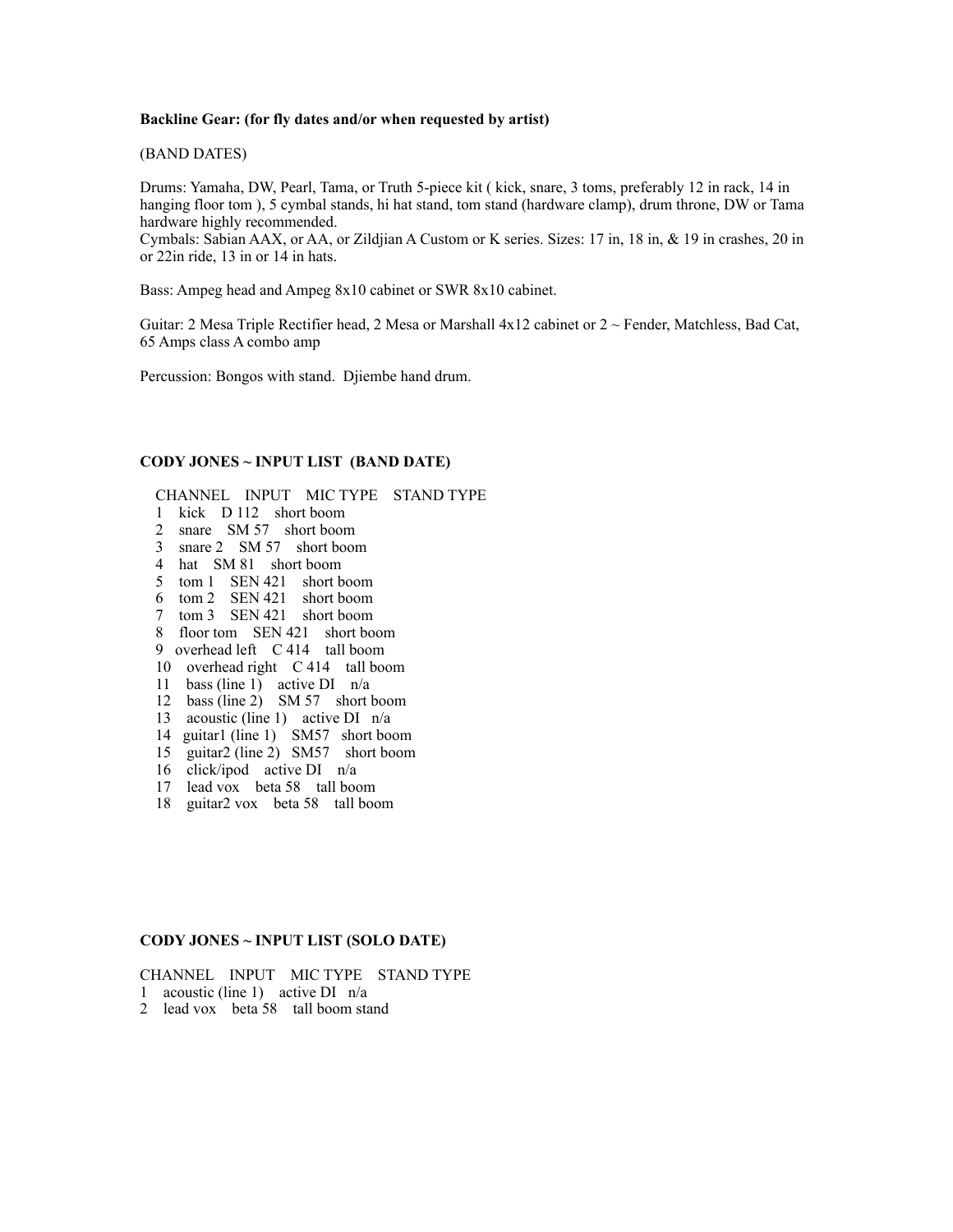#### **Backline Gear: (for fly dates and/or when requested by artist)**

(BAND DATES)

Drums: Yamaha, DW, Pearl, Tama, or Truth 5-piece kit ( kick, snare, 3 toms, preferably 12 in rack, 14 in hanging floor tom ), 5 cymbal stands, hi hat stand, tom stand (hardware clamp), drum throne, DW or Tama hardware highly recommended.

Cymbals: Sabian AAX, or AA, or Zildjian A Custom or K series. Sizes: 17 in, 18 in, & 19 in crashes, 20 in or 22in ride, 13 in or 14 in hats.

Bass: Ampeg head and Ampeg 8x10 cabinet or SWR 8x10 cabinet.

Guitar: 2 Mesa Triple Rectifier head, 2 Mesa or Marshall  $4x12$  cabinet or  $2 \sim$  Fender, Matchless, Bad Cat, 65 Amps class A combo amp

Percussion: Bongos with stand. Djiembe hand drum.

#### **CODY JONES ~ INPUT LIST (BAND DATE)**

CHANNEL INPUT MIC TYPE STAND TYPE

- 1 kick D 112 short boom
- 2 snare SM 57 short boom
- 3 snare 2 SM 57 short boom
- 4 hat SM 81 short boom
- 5 tom 1 SEN 421 short boom
- 6 tom 2 SEN 421 short boom
- 7 tom 3 SEN 421 short boom
- 8 floor tom SEN 421 short boom
- 9 overhead left C 414 tall boom
- 10 overhead right C 414 tall boom
- 11 bass (line  $1$ ) active DI n/a
- 12 bass (line 2) SM 57 short boom
- 13 acoustic (line 1) active DI n/a
- 14 guitar1 (line 1) SM57 short boom
- 15 guitar2 (line 2) SM57 short boom
- 16 click/ipod active DI n/a
- 17 lead vox beta 58 tall boom
- 18 guitar2 vox beta 58 tall boom

#### **CODY JONES ~ INPUT LIST (SOLO DATE)**

CHANNEL INPUT MIC TYPE STAND TYPE

1 acoustic (line 1) active DI n/a

2 lead vox beta 58 tall boom stand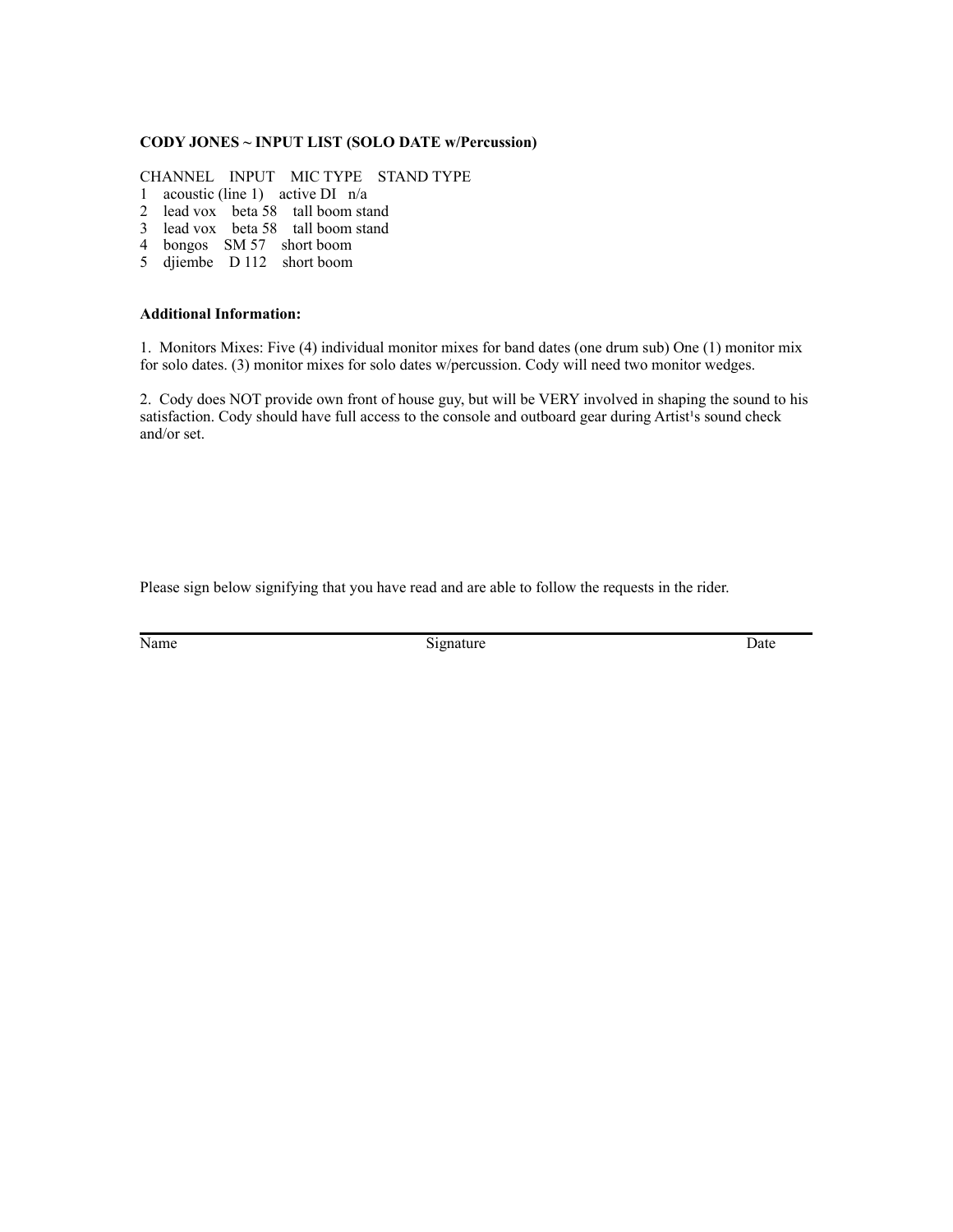#### **CODY JONES ~ INPUT LIST (SOLO DATE w/Percussion)**

CHANNEL INPUT MIC TYPE STAND TYPE

- 1 acoustic (line 1) active DI n/a
- 2 lead vox beta 58 tall boom stand
- 3 lead vox beta 58 tall boom stand
- 4 bongos SM 57 short boom
- 5 djiembe D 112 short boom

#### **Additional Information:**

1. Monitors Mixes: Five (4) individual monitor mixes for band dates (one drum sub) One (1) monitor mix for solo dates. (3) monitor mixes for solo dates w/percussion. Cody will need two monitor wedges.

2. Cody does NOT provide own front of house guy, but will be VERY involved in shaping the sound to his satisfaction. Cody should have full access to the console and outboard gear during Artist<sup>1</sup>s sound check and/or set.

Please sign below signifying that you have read and are able to follow the requests in the rider.

Name Date Signature Signature Date Date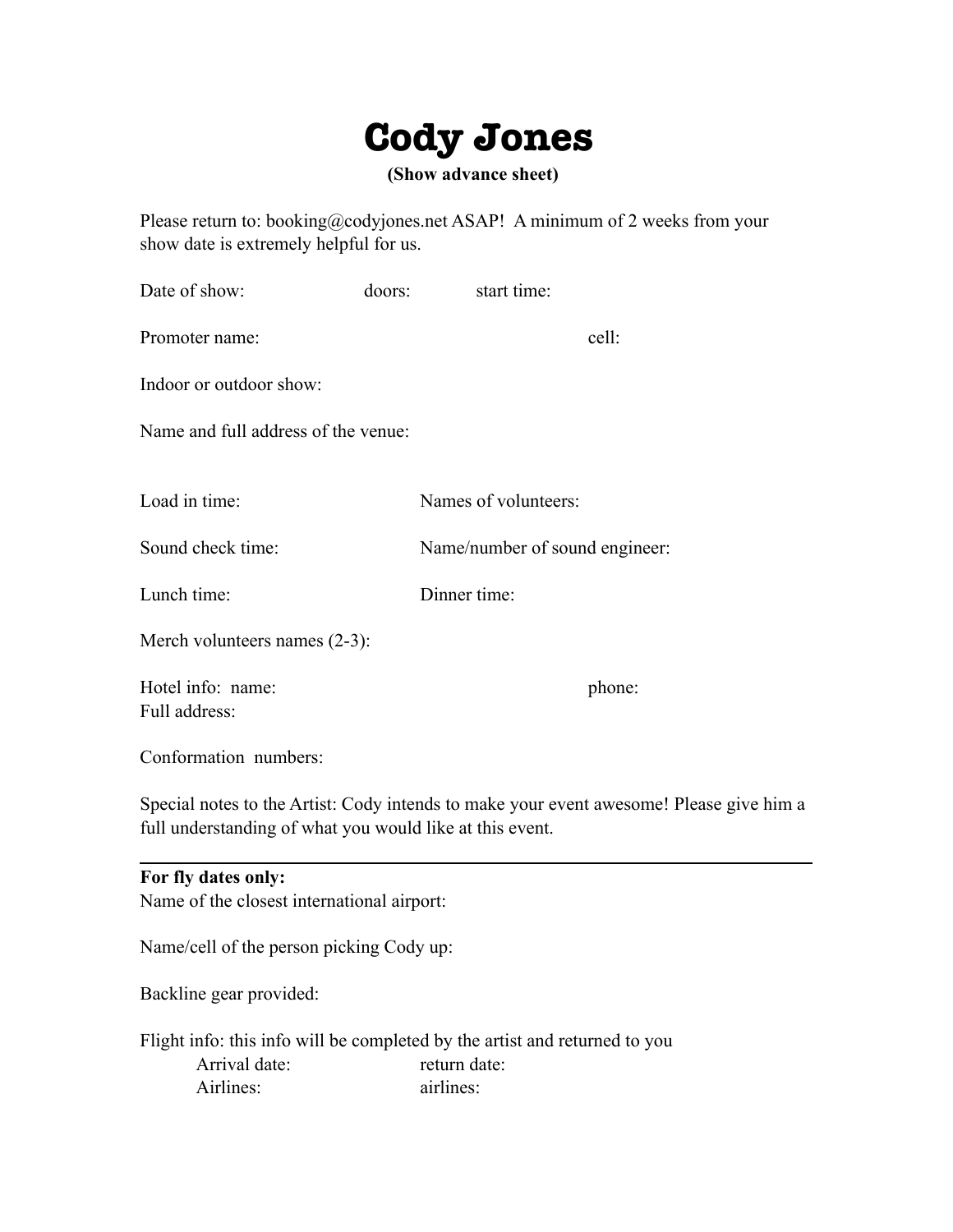# **Cody Jones**

 **(Show advance sheet)** 

Please return to: booking@codyjones.net ASAP! A minimum of 2 weeks from your show date is extremely helpful for us.

| Date of show:                       | doors: | start time:                    |        |
|-------------------------------------|--------|--------------------------------|--------|
| Promoter name:                      |        |                                | cell:  |
| Indoor or outdoor show:             |        |                                |        |
| Name and full address of the venue: |        |                                |        |
| Load in time:                       |        | Names of volunteers:           |        |
|                                     |        |                                |        |
| Sound check time:                   |        | Name/number of sound engineer: |        |
| Lunch time:                         |        | Dinner time:                   |        |
| Merch volunteers names (2-3):       |        |                                |        |
| Hotel info: name:                   |        |                                | phone: |

Conformation numbers:

Full address:

Special notes to the Artist: Cody intends to make your event awesome! Please give him a full understanding of what you would like at this event.

| For fly dates only:                        |                                                                            |
|--------------------------------------------|----------------------------------------------------------------------------|
| Name of the closest international airport: |                                                                            |
| Name/cell of the person picking Cody up:   |                                                                            |
| Backline gear provided:                    |                                                                            |
|                                            | Flight info: this info will be completed by the artist and returned to you |
| Arrival date:                              | return date:                                                               |
| Airlines:                                  | airlines:                                                                  |